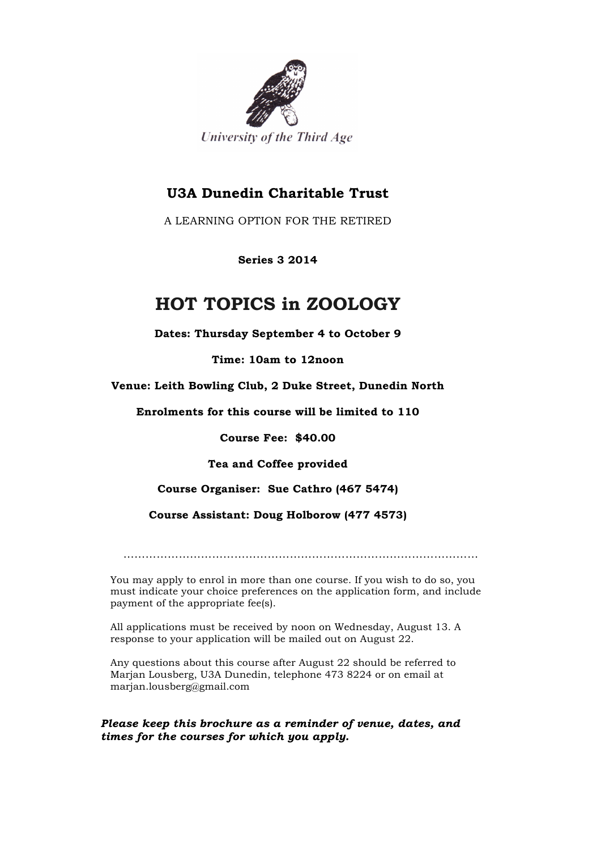

# **U3A Dunedin Charitable Trust**

A LEARNING OPTION FOR THE RETIRED

**Series 3 2014**

# **HOT TOPICS in ZOOLOGY**

**Dates: Thursday September 4 to October 9**

**Time: 10am to 12noon**

**Venue: Leith Bowling Club, 2 Duke Street, Dunedin North**

**Enrolments for this course will be limited to 110**

**Course Fee: \$40.00**

**Tea and Coffee provided**

**Course Organiser: Sue Cathro (467 5474)**

**Course Assistant: Doug Holborow (477 4573)**

……………………………………………………………………………………

You may apply to enrol in more than one course. If you wish to do so, you must indicate your choice preferences on the application form, and include payment of the appropriate fee(s).

All applications must be received by noon on Wednesday, August 13. A response to your application will be mailed out on August 22.

Any questions about this course after August 22 should be referred to Marjan Lousberg, U3A Dunedin, telephone 473 8224 or on email at marjan.lousberg@gmail.com

*Please keep this brochure as a reminder of venue, dates, and times for the courses for which you apply.*